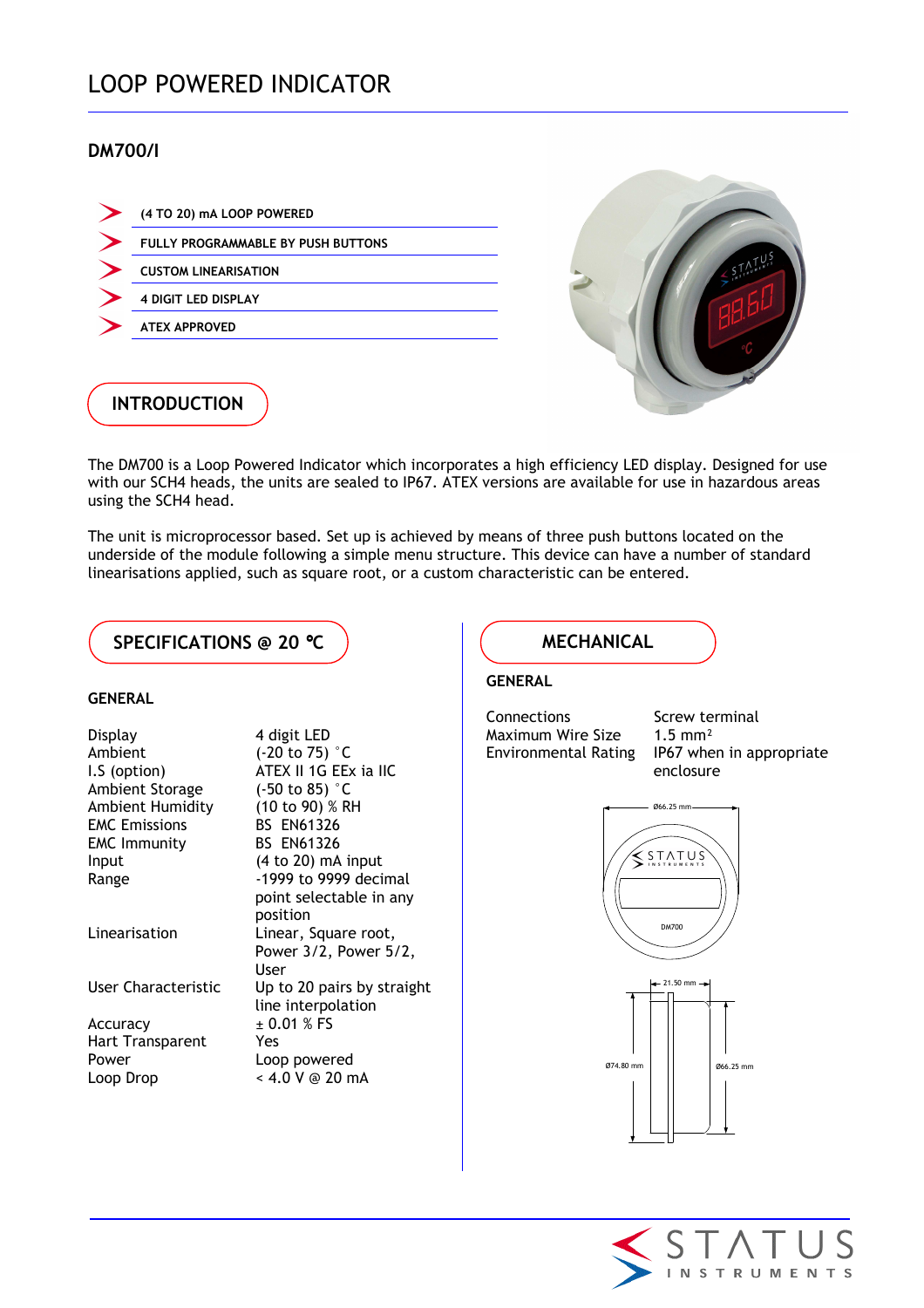# LOOP POWERED INDICATOR

## **DM700/I**

| (4 TO 20) mA LOOP POWERED                 |
|-------------------------------------------|
| <b>FULLY PROGRAMMABLE BY PUSH BUTTONS</b> |
| <b>CUSTOM LINEARISATION</b>               |
| <b>4 DIGIT LED DISPLAY</b>                |
| <b>ATEX APPROVED</b>                      |
|                                           |



# **INTRODUCTION**

The DM700 is a Loop Powered Indicator which incorporates a high efficiency LED display. Designed for use with our SCH4 heads, the units are sealed to IP67. ATEX versions are available for use in hazardous areas using the SCH4 head.

The unit is microprocessor based. Set up is achieved by means of three push buttons located on the underside of the module following a simple menu structure. This device can have a number of standard linearisations applied, such as square root, or a custom characteristic can be entered.

## **SPECIFICATIONS @ 20 °C DEALL CONSUMING MECHANICAL**

### **GENERAL**

| Display<br>Ambient<br>I.S (option)  | 4 digit LED<br>(-20 to 75) °C<br>ATEX II 1G EEx ia IIC |
|-------------------------------------|--------------------------------------------------------|
| Ambient Storage<br>Ambient Humidity | $(-50 \text{ to } 85)$ °C<br>(10 to 90) % RH           |
| <b>EMC Emissions</b>                | <b>BS EN61326</b>                                      |
| <b>EMC Immunity</b>                 | <b>BS EN61326</b>                                      |
| Input                               | (4 to 20) mA input                                     |
| Range                               | -1999 to 9999 decimal                                  |
|                                     | point selectable in any                                |
|                                     | position                                               |
| Linearisation                       | Linear, Square root,                                   |
|                                     | Power 3/2, Power 5/2,<br>User                          |
| User Characteristic                 | Up to 20 pairs by straight<br>line interpolation       |
| Accuracy                            | $\pm$ 0.01 % FS                                        |
| Hart Transparent                    | Yes                                                    |
| Power                               | Loop powered                                           |
| Loop Drop                           | < 4.0 V @ 20 mA                                        |
|                                     |                                                        |

### **GENERAL**

Connections Screw terminal<br>
Maximum Wire Size 1.5 mm<sup>2</sup> Maximum Wire Size

Environmental Rating IP67 when in appropriate enclosure